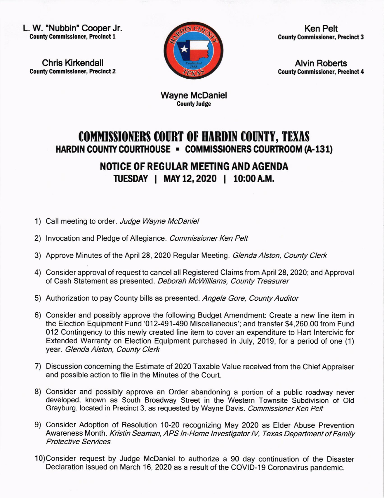L. W. "Nubbin" Cooper Jr. **County Commissioner, Precinct 1** 

Chris Kirkendall County Commissioner, Precinct 2



Ken Pelt County Commissioner, Precinct 3

Alvin Roberts County Commissioner, Precinct 4

Wayne McDaniel **County Judge** 

## COMMISSIONERS COURT OF HARDIN COUNTY, TEXAS HARDIN COUNTY COURTHOUSE - COMMISSIONERS COURTROOM (A-131)

NOTICE OF REGUIAR MEETING AND AGENDA TUESDAY | MAY 12, 2020 | 10:00 A.M.

- 1) Call meeting to order. Judge Wayne McDaniel
- 2) Invocation and Pledge of Allegiance. Commissioner Ken Pelt
- 3) Approve Minutes of the April 28, 2020 Regular Meeting. Glenda Alston, County Clerk
- 4) Consider approval of request to cancel all Registered Claims from April 28, 2020; and Approval of Cash Statement as presented. Deborah McWlliams, County Treasurer
- 5) Authorization to pay County bills as presented. Angela Gore, County Auditor
- 6) Consider and possibly approve the following Budget Amendment: Create a new line item in the Election Equipment Fund '012-491-490 Miscellaneous'; and transfer \$4,260.00 from Fund 012 Contingency to this newly created line item to cover an expenditure to Hart lntercivic for Extended Warranty on Election Equipment purchased in July, 2019, for a period of one (1) year. Glenda Alston, County Clerk
- 7) Discussion concerning the Estimate of 2O2O Taxable Value received from the Chief Appraiser and possible action to file in the Minutes of the Court.
- 8) Consider and possibly approve an Order abandoning a portion of a public roadway never developed, known as South Broadway Street in the Western Townsite Subdivision of Old Grayburg, located in Precinct 3, as requested by Wayne Davis. Commissioner Ken Pelt
- 9) Consider Adoption of Resolution 10-20 recognizing May 2O2O as Elder Abuse Prevention Awareness Month. Kristin Seaman, APS In-Home Investigator IV, Texas Department of Family Protective Seruices
- 10)Consider request by Judge McDaniel to authorize a 90 day continuation of the Disaster Declaration issued on March 16, 2020 as a result of the COVID-19 Coronavirus pandemic.